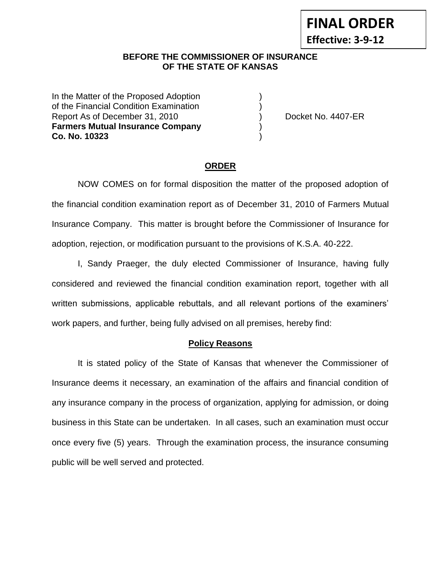**Effective: 3-9-12**

### **BEFORE THE COMMISSIONER OF INSURANCE OF THE STATE OF KANSAS**

In the Matter of the Proposed Adoption of the Financial Condition Examination ) Report As of December 31, 2010 (and Contact Contact Associated A407-ER **Farmers Mutual Insurance Company** ) **Co. No. 10323** )

#### **ORDER**

NOW COMES on for formal disposition the matter of the proposed adoption of the financial condition examination report as of December 31, 2010 of Farmers Mutual Insurance Company. This matter is brought before the Commissioner of Insurance for adoption, rejection, or modification pursuant to the provisions of K.S.A. 40-222.

I, Sandy Praeger, the duly elected Commissioner of Insurance, having fully considered and reviewed the financial condition examination report, together with all written submissions, applicable rebuttals, and all relevant portions of the examiners' work papers, and further, being fully advised on all premises, hereby find:

#### **Policy Reasons**

It is stated policy of the State of Kansas that whenever the Commissioner of Insurance deems it necessary, an examination of the affairs and financial condition of any insurance company in the process of organization, applying for admission, or doing business in this State can be undertaken. In all cases, such an examination must occur once every five (5) years. Through the examination process, the insurance consuming public will be well served and protected.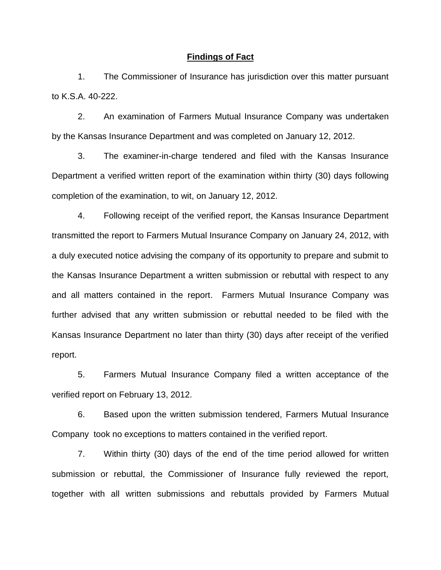#### **Findings of Fact**

1. The Commissioner of Insurance has jurisdiction over this matter pursuant to K.S.A. 40-222.

2. An examination of Farmers Mutual Insurance Company was undertaken by the Kansas Insurance Department and was completed on January 12, 2012.

3. The examiner-in-charge tendered and filed with the Kansas Insurance Department a verified written report of the examination within thirty (30) days following completion of the examination, to wit, on January 12, 2012.

4. Following receipt of the verified report, the Kansas Insurance Department transmitted the report to Farmers Mutual Insurance Company on January 24, 2012, with a duly executed notice advising the company of its opportunity to prepare and submit to the Kansas Insurance Department a written submission or rebuttal with respect to any and all matters contained in the report. Farmers Mutual Insurance Company was further advised that any written submission or rebuttal needed to be filed with the Kansas Insurance Department no later than thirty (30) days after receipt of the verified report.

5. Farmers Mutual Insurance Company filed a written acceptance of the verified report on February 13, 2012.

6. Based upon the written submission tendered, Farmers Mutual Insurance Company took no exceptions to matters contained in the verified report.

7. Within thirty (30) days of the end of the time period allowed for written submission or rebuttal, the Commissioner of Insurance fully reviewed the report, together with all written submissions and rebuttals provided by Farmers Mutual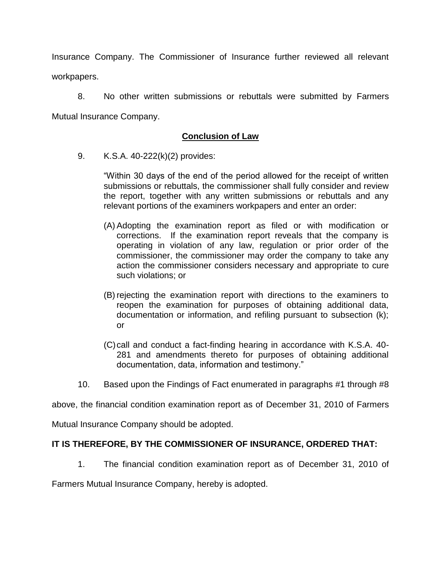Insurance Company. The Commissioner of Insurance further reviewed all relevant workpapers.

8. No other written submissions or rebuttals were submitted by Farmers Mutual Insurance Company.

# **Conclusion of Law**

9. K.S.A. 40-222(k)(2) provides:

"Within 30 days of the end of the period allowed for the receipt of written submissions or rebuttals, the commissioner shall fully consider and review the report, together with any written submissions or rebuttals and any relevant portions of the examiners workpapers and enter an order:

- (A) Adopting the examination report as filed or with modification or corrections. If the examination report reveals that the company is operating in violation of any law, regulation or prior order of the commissioner, the commissioner may order the company to take any action the commissioner considers necessary and appropriate to cure such violations; or
- (B) rejecting the examination report with directions to the examiners to reopen the examination for purposes of obtaining additional data, documentation or information, and refiling pursuant to subsection (k); or
- (C)call and conduct a fact-finding hearing in accordance with K.S.A. 40- 281 and amendments thereto for purposes of obtaining additional documentation, data, information and testimony."
- 10. Based upon the Findings of Fact enumerated in paragraphs #1 through #8

above, the financial condition examination report as of December 31, 2010 of Farmers

Mutual Insurance Company should be adopted.

# **IT IS THEREFORE, BY THE COMMISSIONER OF INSURANCE, ORDERED THAT:**

1. The financial condition examination report as of December 31, 2010 of

Farmers Mutual Insurance Company, hereby is adopted.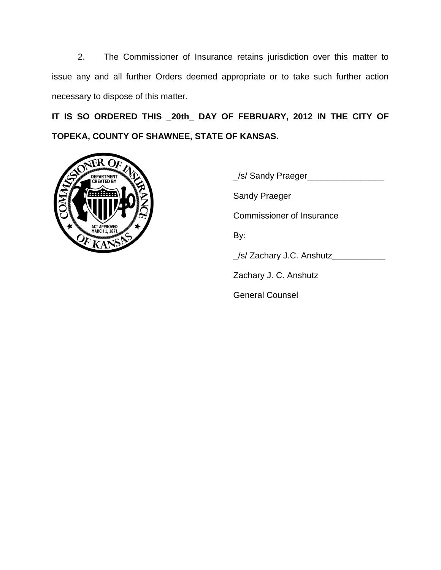2. The Commissioner of Insurance retains jurisdiction over this matter to issue any and all further Orders deemed appropriate or to take such further action necessary to dispose of this matter.

**IT IS SO ORDERED THIS \_20th\_ DAY OF FEBRUARY, 2012 IN THE CITY OF TOPEKA, COUNTY OF SHAWNEE, STATE OF KANSAS.**



\_/s/ Sandy Praeger\_\_\_\_\_\_\_\_\_\_\_\_\_\_\_\_ Sandy Praeger Commissioner of Insurance By: \_/s/ Zachary J.C. Anshutz\_\_\_\_\_\_\_\_\_\_\_ Zachary J. C. Anshutz General Counsel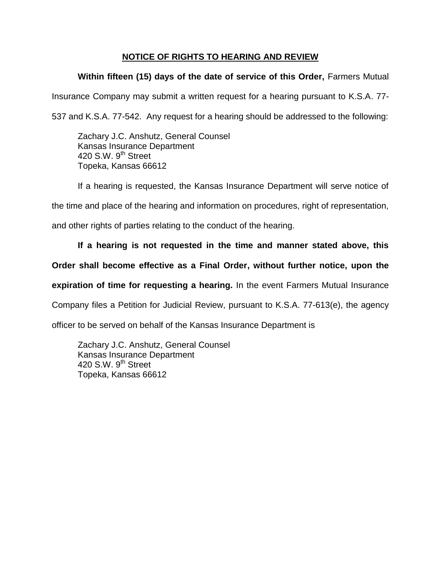# **NOTICE OF RIGHTS TO HEARING AND REVIEW**

# **Within fifteen (15) days of the date of service of this Order,** Farmers Mutual

Insurance Company may submit a written request for a hearing pursuant to K.S.A. 77-

537 and K.S.A. 77-542. Any request for a hearing should be addressed to the following:

Zachary J.C. Anshutz, General Counsel Kansas Insurance Department 420 S.W. 9<sup>th</sup> Street Topeka, Kansas 66612

If a hearing is requested, the Kansas Insurance Department will serve notice of

the time and place of the hearing and information on procedures, right of representation,

and other rights of parties relating to the conduct of the hearing.

# **If a hearing is not requested in the time and manner stated above, this**

# **Order shall become effective as a Final Order, without further notice, upon the**

**expiration of time for requesting a hearing.** In the event Farmers Mutual Insurance

Company files a Petition for Judicial Review, pursuant to K.S.A. 77-613(e), the agency

officer to be served on behalf of the Kansas Insurance Department is

Zachary J.C. Anshutz, General Counsel Kansas Insurance Department 420 S.W.  $9<sup>th</sup>$  Street Topeka, Kansas 66612